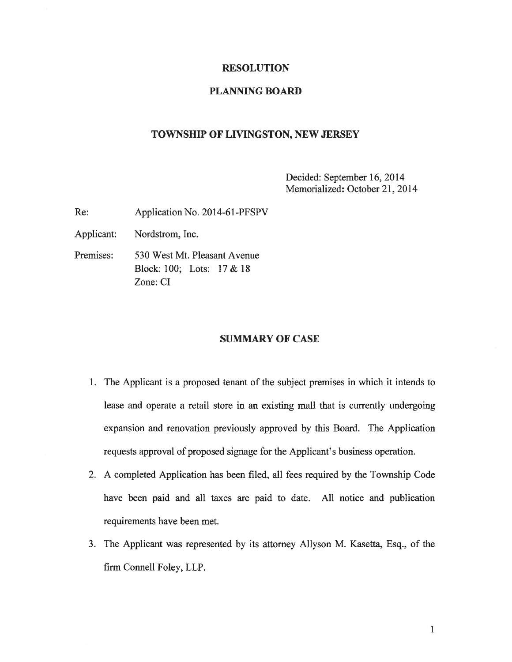#### RESOLUTION

#### PLANNING BOARD

## TOWNSHIP OF LIVINGSTON, NEW JERSEY

Decided: September 16, 2014 Memorialized: October 21, 2014

Re: Application No. 2014-61-PFSPV

Applicant: Nordstrom, Inc.

Premises: 530 West Mt. Pleasant Avenue Block: 100; Lots: 17&18 Zone: CI

## SUMMARY OF CASE

- 1. The Applicant is <sup>a</sup> proposed tenant of the subject premises in which it intends to lease and operate <sup>a</sup> retail store in an existing mall that is currently undergoing expansion and renovation previously approved by this Board. The Application requests approval of proposed signage for the Applicant's business operation.
- 2. A completed Application has been filed, all fees required by the Township Code have been paid and all taxes are paid to date. All notice and publication requirements have been met.
- 3. The Applicant was represented by its attorney Allyson M. Kasetta, Esq., of the firm Connell Foley, LLP.

1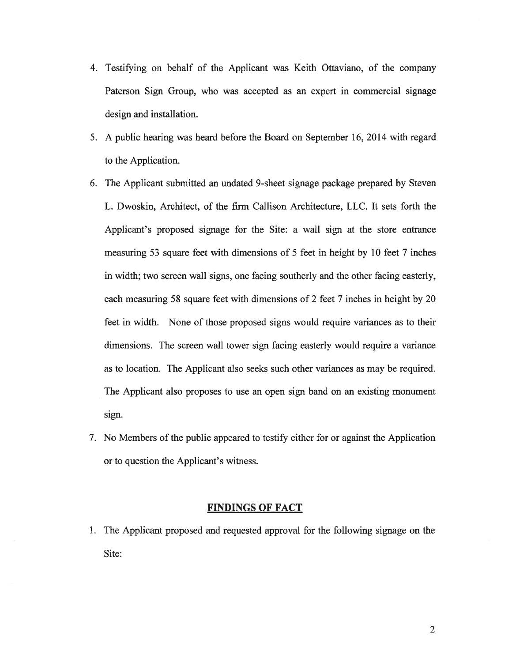- 4. Testifying on behalf of the Applicant was Keith Ottaviano, of the company Paterson Sign Group, who was accepted as an exper<sup>t</sup> in commercial signage design and installation.
- 5. A public hearing was heard before the Board on September 16, 2014 with regard to the Application.
- 6. The Applicant submitted an undated 9-sheet signage package prepared by Steven L. Dwoskin, Architect, of the firm Callison Architecture, LLC. It sets forth the Applicant's proposed signage for the Site: <sup>a</sup> wall sign at the store entrance measuring 53 square feet with dimensions of 5 feet in height by 10 feet 7 inches in width; two screen wall signs, one facing southerly and the other facing easterly, each measuring 58 square feet with dimensions of 2 feet 7 inches in height by 20 feet in width. None of those proposed signs would require variances as to their dimensions. The screen wall tower sign facing easterly would require <sup>a</sup> variance as to location. The Applicant also seeks such other variances as may be required. The Applicant also proposes to use an open sign band on an existing monument sign.
- 7. No Members of the public appeared to testify either for or against the Application or to question the Applicant's witness.

# FINDINGS OF FACT

1. The Applicant proposed and requested approval for the following signage on the Site: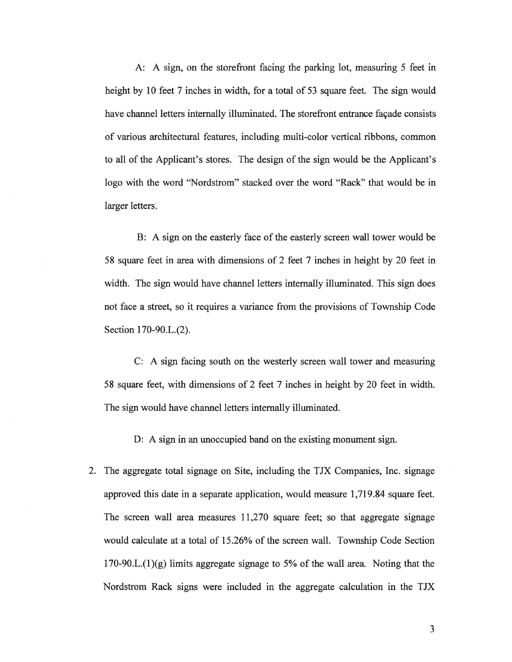A: A sign, on the storefront facing the parking lot, measuring 5 feet in height by 10 feet 7 inches in width, for a total of 53 square feet. The sign would have channel letters internally illuminated. The storefront entrance façade consists of various architectural features, including multi-color vertical ribbons, common to all of the Applicant's stores. The design of the sign would be the Applicant's logo with the word "Nordstrom" stacked over the word "Rack" that would be in larger letters.

B: A sign on the easterly face of the easterly screen wall tower would be 58 square feet in area with dimensions of 2 feet 7 inches in height by 20 feet in width. The sign would have channel letters internally illuminated. This sign does not face <sup>a</sup> street, so it requires <sup>a</sup> variance from the provisions of Township Code Section 170-90.L.(2).

C: A sign facing south on the westerly screen wall tower and measuring 58 square feet, with dimensions of 2 feet 7 inches in height by 20 feet in width. The sign would have channel letters internally illuminated.

D: A sign in an unoccupied band on the existing monument sign.

2. The aggregate total signage on Site, including the TJX Companies, Inc. signage approved this date in <sup>a</sup> separate application, would measure 1,719.84 square feet. The screen wall area measures 11,270 square feet; so that aggregate signage would calculate at <sup>a</sup> total of 15.26% of the screen wall. Township Code Section 170-90.L.(1)(g) limits aggregate signage to 5% of the wall area. Noting that the Nordstrom Rack signs were included in the aggregate calculation in the TJX

3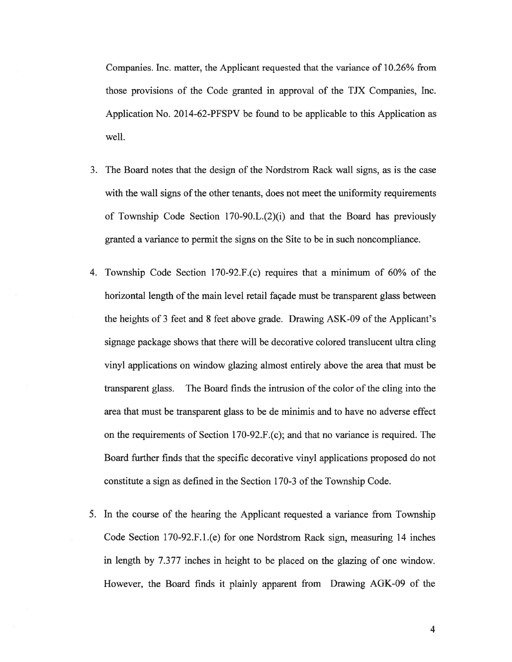Companies. Inc. matter, the Applicant requested that the variance of 10.26% from those provisions of the Code granted in approval of the TJX Companies, Inc. Application No. 2014-62-PFSPV be found to be applicable to this Application as well.

- 3. The Board notes that the design of the Nordstrom Rack wall signs, as is the case with the wall signs of the other tenants, does not meet the uniformity requirements of Township Code Section  $170-90.L.(2)(i)$  and that the Board has previously granted <sup>a</sup> variance to permit the signs on the Site to be in such noncompliance.
- 4. Township Code Section 170-92.F.(c) requires that a minimum of 60% of the horizontal length of the main level retail façade must be transparent glass between the heights of 3 feet and 8 feet above grade. Drawing ASK-09 of the Applicant's signage package shows that there will be decorative colored translucent ultra cling vinyl applications on window glazing almost entirely above the area that must be transparent glass. The Board finds the intrusion of the color of the cling into the area that must be transparent glass to be de minimis and to have no adverse effect on the requirements of Section 170-92.F.(c); and that no variance is required. The Board further finds that the specific decorative vinyl applications proposed do not constitute a sign as defined in the Section 170-3 of the Township Code.
- 5. In the course of the hearing the Applicant requested <sup>a</sup> variance from Township Code Section 170-92.F.1.(e) for one Nordstrom Rack sign, measuring 14 inches in length by 7.377 inches in height to be placed on the glazing of one window. However, the Board finds it plainly apparen<sup>t</sup> from Drawing AGK-09 of the

4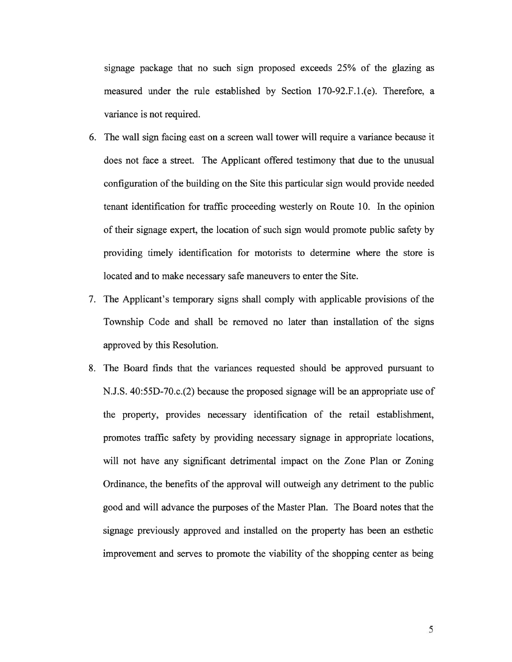signage package that no such sign proposed exceeds 25% of the glazing as measured under the rule established by Section 170-92.F.l.(e). Therefore, <sup>a</sup> variance is not required.

- 6. The wall sign facing east on <sup>a</sup> screen wall tower will require <sup>a</sup> variance because it does not face <sup>a</sup> street. The Applicant offered testimony that due to the unusual configuration of the building on the Site this particular sign would provide needed tenant identification for traffic proceeding westerly on Route 10. In the opinion of their signage expert, the location of such sign would promote public safety by providing timely identification for motorists to determine where the store is located and to make necessary safe maneuvers to enter the Site.
- 7. The Applicant's temporary signs shall comply with applicable provisions of the Township Code and shall be removed no later than installation of the signs approved by this Resolution.
- 8. The Board finds that the variances requested should be approved pursuan<sup>t</sup> to N.J.S. 40:55D-70.c.(2) because the proposed signage will be an appropriate use of the property, provides necessary identification of the retail establishment, promotes traffic safety by providing necessary signage in appropriate locations, will not have any significant detrimental impact on the Zone Plan or Zoning Ordinance, the benefits of the approval will outweigh any detriment to the public good and will advance the purposes of the Master Plan. The Board notes that the signage previously approved and installed on the property has been an esthetic improvement and serves to promote the viability of the shopping center as being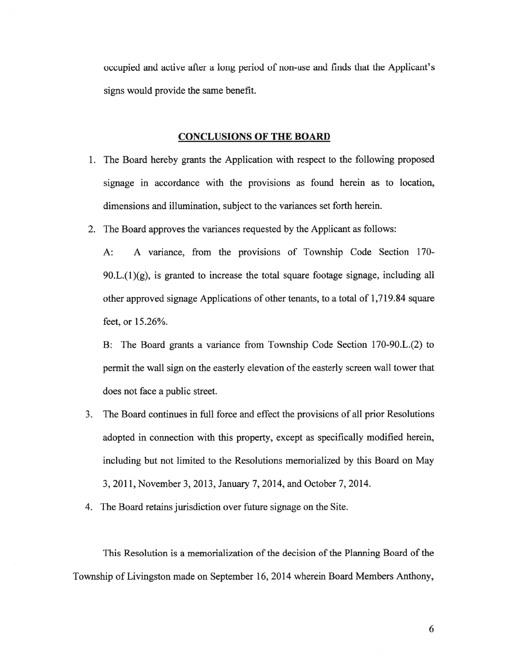occupied and active after <sup>a</sup> long period of non-use and finds that the Applicant's signs would provide the same benefit.

#### CONCLUSIONS OF THE BOARD

- 1. The Board hereby grants the Application with respec<sup>t</sup> to the following proposed signage in accordance with the provisions as found herein as to location, dimensions and illumination, subject to the variances set forth herein.
- 2. The Board approves the variances requested by the Applicant as follows:

A: A variance, from the provisions of Township Code Section 170- 90.L.(1)(g), is granted to increase the total square footage signage, including all other approved signage Applications of other tenants, to <sup>a</sup> total of 1,719.84 square feet, or 15.26%.

B: The Board grants <sup>a</sup> variance from Township Code Section 170-90.L.(2) to permit the wall sign on the easterly elevation of the easterly screen wall tower that does not face <sup>a</sup> public street.

- 3. The Board continues in full force and effect the provisions of all prior Resolutions adopted in connection with this property, excep<sup>t</sup> as specifically modified herein, including but not limited to the Resolutions memorialized by this Board on May 3, 2011, November 3, 2013, January 7, 2014, and October 7, 2014.
- 4. The Board retains jurisdiction over future signage on the Site.

This Resolution is <sup>a</sup> memorialization of the decision of the Planning Board of the Township of Livingston made on September 16, 2014 wherein Board Members Anthony,